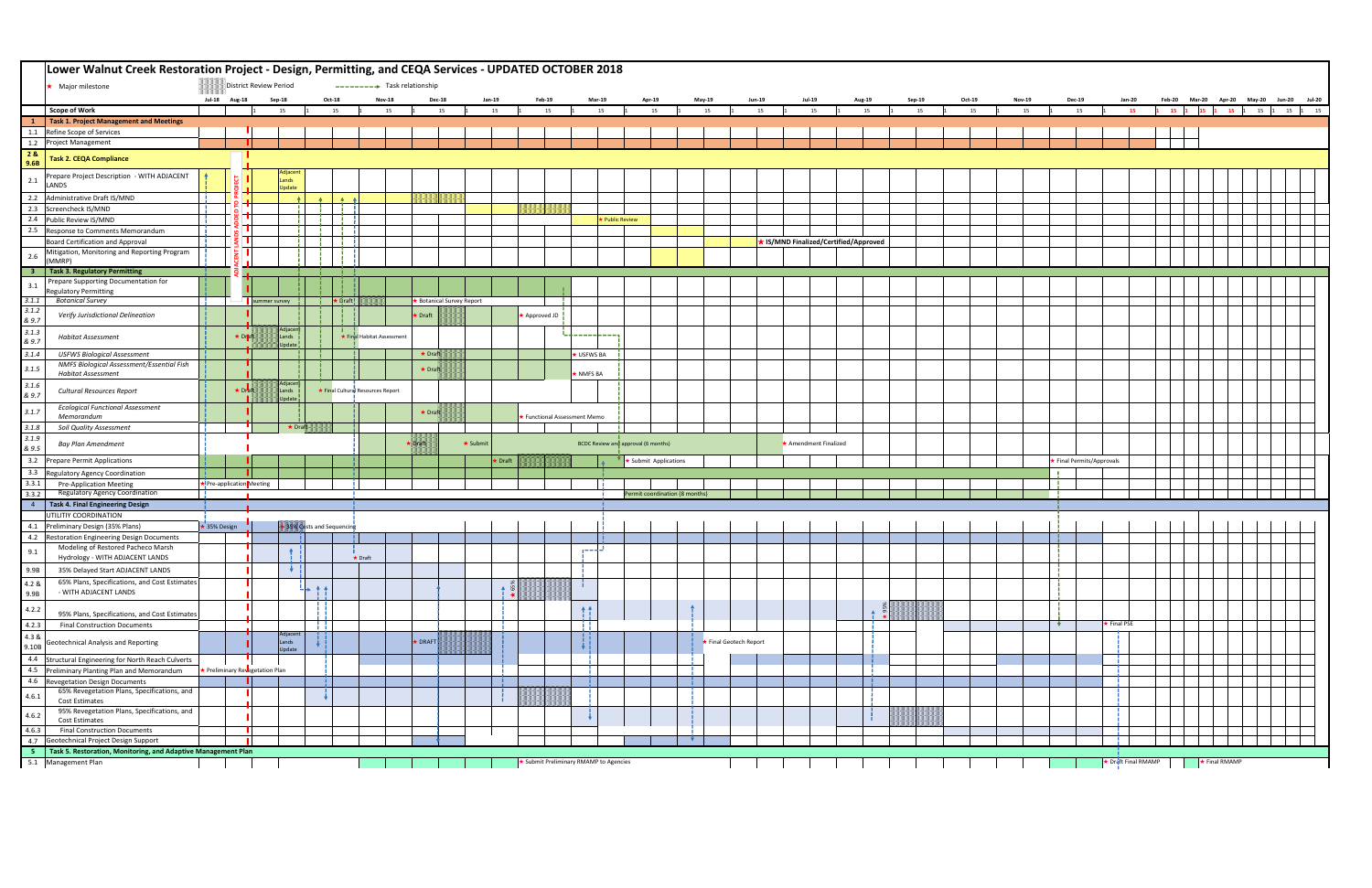|                | Lower Walnut Creek Restoration Project - Design, Permitting, and CEQA Services - UPDATED OCTOBER 2018 |                                                                                                                                                                              |               |               |                             |               |                             |                                 |               |                |                           |                       |                                        |                                   |                                     |  |                        |               |                                              |                  |        |        |               |                         |                     |             |  |                                    |
|----------------|-------------------------------------------------------------------------------------------------------|------------------------------------------------------------------------------------------------------------------------------------------------------------------------------|---------------|---------------|-----------------------------|---------------|-----------------------------|---------------------------------|---------------|----------------|---------------------------|-----------------------|----------------------------------------|-----------------------------------|-------------------------------------|--|------------------------|---------------|----------------------------------------------|------------------|--------|--------|---------------|-------------------------|---------------------|-------------|--|------------------------------------|
|                | Major milestone                                                                                       | District Review Period<br>$\rightarrow \rightarrow \rightarrow \rightarrow$ Task relationship<br>Jul-18 Aug-18<br>Feb-20 Mar-20 Apr-20 May-20 Jun-20 Jul-20<br><b>Dec-18</b> |               |               |                             |               |                             |                                 |               |                |                           |                       |                                        |                                   |                                     |  |                        |               |                                              |                  |        |        |               |                         |                     |             |  |                                    |
|                |                                                                                                       |                                                                                                                                                                              |               |               | Sep-18                      |               | Oct-18                      |                                 | <b>Nov-18</b> |                |                           | Jan-19                | Feb-19                                 | <b>Mar-19</b>                     | <b>Apr-19</b>                       |  | <b>May-19</b>          | <b>Jun-19</b> | <b>Jul-19</b>                                | Aug-19           | Sep-19 | Oct-19 | <b>Nov-19</b> | <b>Dec-19</b>           | <b>Jan-20</b>       |             |  |                                    |
|                | <b>Scope of Work</b>                                                                                  |                                                                                                                                                                              |               |               | 15                          |               | 15                          |                                 | 15            |                | 15                        | 15                    | 15                                     | 15                                | 15                                  |  | 15                     | 15            | 15                                           | 15               | 15     | 15     | 15            | 15                      | 15                  |             |  | 1 15 1 15 1 15 1 15 1 15 1 15 1 15 |
| $\mathbf{1}$   | Task 1. Project Management and Meetings                                                               |                                                                                                                                                                              |               |               |                             |               |                             |                                 |               |                |                           |                       |                                        |                                   |                                     |  |                        |               |                                              |                  |        |        |               |                         |                     |             |  |                                    |
|                | 1.1 Refine Scope of Services<br>1.2 Project Management                                                |                                                                                                                                                                              |               |               |                             |               |                             |                                 |               |                |                           |                       |                                        |                                   |                                     |  |                        |               |                                              |                  |        |        |               |                         |                     |             |  |                                    |
| 28             |                                                                                                       |                                                                                                                                                                              |               |               |                             |               |                             |                                 |               |                |                           |                       |                                        |                                   |                                     |  |                        |               |                                              |                  |        |        |               |                         |                     |             |  |                                    |
| 9.6B           | <b>Task 2. CEQA Compliance</b>                                                                        |                                                                                                                                                                              |               |               |                             |               |                             |                                 |               |                |                           |                       |                                        |                                   |                                     |  |                        |               |                                              |                  |        |        |               |                         |                     |             |  |                                    |
|                | Prepare Project Description - WITH ADJACENT                                                           |                                                                                                                                                                              |               |               | Adjacent                    |               |                             |                                 |               |                |                           |                       |                                        |                                   |                                     |  |                        |               |                                              |                  |        |        |               |                         |                     |             |  |                                    |
| 2.1            | LANDS                                                                                                 |                                                                                                                                                                              |               |               | Lands<br>Update             |               |                             |                                 |               |                |                           |                       |                                        |                                   |                                     |  |                        |               |                                              |                  |        |        |               |                         |                     |             |  |                                    |
|                | 2.2 Administrative Draft IS/MND                                                                       |                                                                                                                                                                              | $\rho -$      |               |                             |               | $\blacktriangle$            |                                 |               |                |                           |                       |                                        |                                   |                                     |  |                        |               |                                              |                  |        |        |               |                         |                     |             |  |                                    |
|                | 2.3 Screencheck IS/MND                                                                                |                                                                                                                                                                              |               |               |                             |               |                             |                                 |               |                |                           |                       |                                        |                                   |                                     |  |                        |               |                                              |                  |        |        |               |                         |                     |             |  |                                    |
|                | 2.4 Public Review IS/MND                                                                              |                                                                                                                                                                              |               |               |                             |               |                             |                                 |               |                |                           |                       |                                        |                                   | ★ Public Review                     |  |                        |               |                                              |                  |        |        |               |                         |                     |             |  |                                    |
|                | 2.5 Response to Comments Memorandum                                                                   |                                                                                                                                                                              |               |               |                             |               |                             |                                 |               |                |                           |                       |                                        |                                   |                                     |  |                        |               |                                              |                  |        |        |               |                         |                     |             |  |                                    |
|                | Board Certification and Approval                                                                      |                                                                                                                                                                              |               |               |                             |               |                             |                                 |               |                |                           |                       |                                        |                                   |                                     |  |                        |               | <b>★ IS/MND Finalized/Certified/Approved</b> |                  |        |        |               |                         |                     |             |  |                                    |
| $2.6$          | Mitigation, Monitoring and Reporting Program<br>(MMRP)                                                |                                                                                                                                                                              |               |               |                             |               |                             |                                 |               |                |                           |                       |                                        |                                   |                                     |  |                        |               |                                              |                  |        |        |               |                         |                     |             |  |                                    |
|                | 3   Task 3. Regulatory Permitting                                                                     |                                                                                                                                                                              |               |               |                             |               |                             |                                 |               |                |                           |                       |                                        |                                   |                                     |  |                        |               |                                              |                  |        |        |               |                         |                     |             |  |                                    |
|                | Prepare Supporting Documentation for                                                                  |                                                                                                                                                                              |               |               |                             |               |                             |                                 |               |                |                           |                       |                                        |                                   |                                     |  |                        |               |                                              |                  |        |        |               |                         |                     |             |  |                                    |
| 3.1            | <b>Regulatory Permitting</b>                                                                          |                                                                                                                                                                              |               |               |                             |               |                             |                                 |               |                |                           |                       |                                        |                                   |                                     |  |                        |               |                                              |                  |        |        |               |                         |                     |             |  |                                    |
| 3.1.1          | <b>Botanical Survey</b>                                                                               |                                                                                                                                                                              |               | summer survey |                             |               | $\frac{1}{1}$ $\star$ Draft |                                 |               |                | ★ Botanical Survey Report |                       |                                        |                                   |                                     |  |                        |               |                                              |                  |        |        |               |                         |                     |             |  |                                    |
| 3.1.2<br>& 9.7 | Verify Jurisdictional Delineation                                                                     |                                                                                                                                                                              |               |               |                             |               |                             |                                 |               | $\star$ Draft  |                           |                       | Approved JD                            |                                   |                                     |  |                        |               |                                              |                  |        |        |               |                         |                     |             |  |                                    |
| 3.1.3          | <b>Habitat Assessment</b>                                                                             |                                                                                                                                                                              | ★ Draft       |               | Adjacent<br>Lands           |               |                             | ★ Final Habitat Assessment      |               |                |                           |                       |                                        | for the company of the company of |                                     |  |                        |               |                                              |                  |        |        |               |                         |                     |             |  |                                    |
| & 9.7          |                                                                                                       |                                                                                                                                                                              |               |               | Jpdate                      |               |                             |                                 |               |                |                           |                       |                                        |                                   |                                     |  |                        |               |                                              |                  |        |        |               |                         |                     |             |  |                                    |
| 3.1.4          | <b>USFWS Biological Assessment</b>                                                                    |                                                                                                                                                                              |               |               |                             |               |                             |                                 |               | $\star$ Draft  |                           |                       |                                        | <b>* USFWS BA</b>                 |                                     |  |                        |               |                                              |                  |        |        |               |                         |                     |             |  |                                    |
| 3.1.5          | NMFS Biological Assessment/Essential Fish<br><b>Habitat Assessment</b>                                |                                                                                                                                                                              |               |               |                             |               |                             |                                 |               | $\star$ Draft  |                           |                       |                                        | NMFS <sub>BA</sub>                |                                     |  |                        |               |                                              |                  |        |        |               |                         |                     |             |  |                                    |
| 3.1.6<br>& 9.7 | Cultural Resources Report                                                                             |                                                                                                                                                                              | $\star$ Draft |               | Adjacent<br>Lands<br>Update |               |                             | Final Cultural Resources Report |               |                |                           |                       |                                        |                                   |                                     |  |                        |               |                                              |                  |        |        |               |                         |                     |             |  |                                    |
| 3.1.7          | <b>Ecological Functional Assessment</b>                                                               |                                                                                                                                                                              |               |               |                             |               |                             |                                 |               | $\star$ Draft  |                           |                       |                                        |                                   |                                     |  |                        |               |                                              |                  |        |        |               |                         |                     |             |  |                                    |
| $3.1.8\,$      | Memorandum<br><b>Soil Quality Assessment</b>                                                          |                                                                                                                                                                              |               |               |                             | $\star$ Draft |                             |                                 |               |                |                           |                       | ★ Functional Assessment Memo           |                                   |                                     |  |                        |               |                                              |                  |        |        |               |                         |                     |             |  |                                    |
| 3.1.9          |                                                                                                       |                                                                                                                                                                              |               |               |                             |               |                             |                                 |               |                |                           |                       |                                        |                                   |                                     |  |                        |               |                                              |                  |        |        |               |                         |                     |             |  |                                    |
| & 9.5          | Bay Plan Amendment                                                                                    |                                                                                                                                                                              |               |               |                             |               |                             |                                 |               | <b>K</b> Dratt |                           | $\star$ Submit        |                                        |                                   | BCDC Review and approval (6 months) |  |                        |               | * Amendment Finalized                        |                  |        |        |               |                         |                     |             |  |                                    |
|                | 3.2 Prepare Permit Applications                                                                       |                                                                                                                                                                              |               |               |                             |               |                             |                                 |               |                |                           | $\star$ Draft         |                                        |                                   | <b>★ Submit Applications</b>        |  |                        |               |                                              |                  |        |        |               | Final Permits/Approvals |                     |             |  |                                    |
| 3.3.1          | 3.3 Regulatory Agency Coordination<br><b>Pre-Application Meeting</b>                                  | ★ Pre-application Meeting                                                                                                                                                    |               |               |                             |               |                             |                                 |               |                |                           |                       |                                        |                                   |                                     |  |                        |               |                                              |                  |        |        |               |                         |                     |             |  |                                    |
| 3.3.2          | Regulatory Agency Coordination                                                                        |                                                                                                                                                                              |               |               |                             |               |                             |                                 |               |                |                           |                       |                                        |                                   | Permit coordination (8 months)      |  |                        |               |                                              |                  |        |        |               |                         |                     |             |  |                                    |
|                | 4   Task 4. Final Engineering Design                                                                  |                                                                                                                                                                              |               |               |                             |               |                             |                                 |               |                |                           |                       |                                        |                                   |                                     |  |                        |               |                                              |                  |        |        |               |                         |                     |             |  |                                    |
|                | UTILITIY COORDINATION                                                                                 |                                                                                                                                                                              |               |               |                             |               |                             |                                 |               |                |                           |                       |                                        |                                   |                                     |  |                        |               |                                              |                  |        |        |               |                         |                     |             |  |                                    |
|                | 4.1 Preliminary Design (35% Plans)                                                                    | ★ 35% Design                                                                                                                                                                 |               |               |                             |               | 35% Costs and Sequencin     |                                 |               |                |                           |                       |                                        |                                   |                                     |  |                        |               |                                              |                  |        |        |               |                         |                     |             |  |                                    |
|                | 4.2 Restoration Engineering Design Documents                                                          |                                                                                                                                                                              |               |               |                             |               |                             |                                 |               |                |                           |                       |                                        |                                   |                                     |  |                        |               |                                              |                  |        |        |               |                         |                     |             |  |                                    |
| 9.1            | Modeling of Restored Pacheco Marsh<br>Hydrology - WITH ADJACENT LANDS                                 |                                                                                                                                                                              |               |               | $+$                         |               |                             | $\star$ Draft                   |               |                |                           |                       |                                        | الملابسين                         |                                     |  |                        |               |                                              |                  |        |        |               |                         |                     |             |  |                                    |
| 9.9B           | 35% Delayed Start ADJACENT LANDS                                                                      |                                                                                                                                                                              |               |               |                             |               |                             |                                 |               |                |                           |                       |                                        |                                   |                                     |  |                        |               |                                              |                  |        |        |               |                         |                     |             |  |                                    |
|                |                                                                                                       |                                                                                                                                                                              |               |               |                             |               |                             |                                 |               |                |                           |                       |                                        |                                   |                                     |  |                        |               |                                              |                  |        |        |               |                         |                     |             |  |                                    |
| 4.2 &<br>9.9B  | 65% Plans, Specifications, and Cost Estimates<br>- WITH ADJACENT LANDS                                |                                                                                                                                                                              |               |               |                             | $+$ $+$       |                             |                                 |               |                |                           | $\ddot{\bullet}$ is s |                                        |                                   |                                     |  |                        |               |                                              |                  |        |        |               |                         |                     |             |  |                                    |
| 4.2.2          |                                                                                                       |                                                                                                                                                                              |               |               |                             |               |                             |                                 |               |                |                           |                       |                                        |                                   |                                     |  |                        |               |                                              |                  |        |        |               |                         |                     |             |  |                                    |
|                | 95% Plans, Specifications, and Cost Estimates                                                         |                                                                                                                                                                              |               |               |                             |               |                             |                                 |               |                |                           |                       |                                        | 彗                                 |                                     |  |                        |               |                                              | $\blacktriangle$ |        |        |               | $\mathbf{v}$            | $\star$ Final PSE   |             |  |                                    |
| 4.2.3<br>4.3 & | <b>Final Construction Documents</b>                                                                   |                                                                                                                                                                              |               |               | Adjacent                    | H 1           |                             |                                 |               |                |                           |                       |                                        |                                   |                                     |  |                        |               |                                              |                  |        |        |               |                         |                     |             |  |                                    |
| 9.10B          | Geotechnical Analysis and Reporting                                                                   |                                                                                                                                                                              |               |               | Lands<br>Update             | v ¦           |                             |                                 |               | <b>* DRAFT</b> |                           |                       |                                        |                                   |                                     |  | ★ Final Geotech Report |               |                                              |                  |        |        |               |                         |                     |             |  |                                    |
|                | 4.4 Structural Engineering for North Reach Culverts<br>4.5 Preliminary Planting Plan and Memorandum   | ★ Preliminary Revegetation Plan                                                                                                                                              |               |               |                             |               |                             |                                 |               |                |                           |                       |                                        |                                   |                                     |  |                        |               |                                              |                  |        |        |               |                         |                     |             |  |                                    |
|                | 4.6 Revegetation Design Documents                                                                     |                                                                                                                                                                              |               |               |                             |               |                             |                                 |               |                |                           |                       |                                        |                                   |                                     |  |                        |               |                                              |                  |        |        |               |                         |                     |             |  |                                    |
| 4.6.1          | 65% Revegetation Plans, Specifications, and                                                           |                                                                                                                                                                              |               |               |                             |               |                             |                                 |               |                |                           |                       |                                        |                                   |                                     |  |                        |               |                                              |                  |        |        |               |                         |                     |             |  |                                    |
|                | <b>Cost Estimates</b><br>95% Revegetation Plans, Specifications, and                                  |                                                                                                                                                                              |               |               |                             |               |                             |                                 |               |                |                           |                       |                                        |                                   |                                     |  |                        |               |                                              |                  |        |        |               |                         |                     |             |  |                                    |
| 4.6.2          | <b>Cost Estimates</b>                                                                                 |                                                                                                                                                                              |               |               |                             |               |                             |                                 |               |                |                           |                       |                                        |                                   |                                     |  |                        |               |                                              |                  |        |        |               |                         |                     |             |  |                                    |
| 4.6.3          | <b>Final Construction Documents</b>                                                                   |                                                                                                                                                                              |               |               |                             |               |                             |                                 |               |                |                           |                       |                                        |                                   |                                     |  |                        |               |                                              |                  |        |        |               |                         |                     |             |  |                                    |
|                | 4.7 Geotechnical Project Design Support                                                               |                                                                                                                                                                              |               |               |                             |               |                             |                                 |               |                |                           |                       |                                        |                                   |                                     |  |                        |               |                                              |                  |        |        |               |                         |                     |             |  |                                    |
|                | 5   Task 5. Restoration, Monitoring, and Adaptive Management Plan<br>5.1 Management Plan              |                                                                                                                                                                              |               |               |                             |               |                             |                                 |               |                |                           |                       | ★ Submit Preliminary RMAMP to Agencies |                                   |                                     |  |                        |               |                                              |                  |        |        |               |                         | ★ Draft Final RMAMP | Final RMAMP |  |                                    |
|                |                                                                                                       |                                                                                                                                                                              |               |               |                             |               |                             |                                 |               |                |                           |                       |                                        |                                   |                                     |  |                        |               |                                              |                  |        |        |               |                         |                     |             |  |                                    |